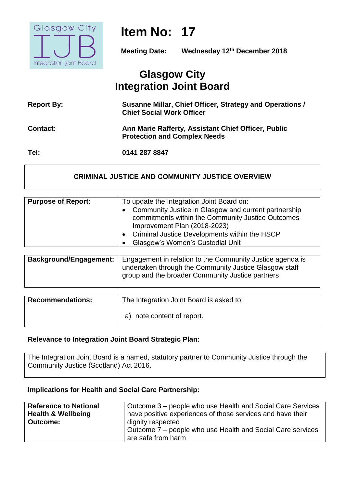

# **Item No: 17**

**Meeting Date: Wednesday 12th December 2018**

# **Glasgow City Integration Joint Board**

| <b>Report By:</b> | Susanne Millar, Chief Officer, Strategy and Operations /<br><b>Chief Social Work Officer</b> |
|-------------------|----------------------------------------------------------------------------------------------|
| <b>Contact:</b>   | Ann Marie Rafferty, Assistant Chief Officer, Public<br><b>Protection and Complex Needs</b>   |
| Tel:              | 0141 287 8847                                                                                |

#### **CRIMINAL JUSTICE AND COMMUNITY JUSTICE OVERVIEW**

| <b>Purpose of Report:</b> | To update the Integration Joint Board on:                                                                                                                                                                                      |
|---------------------------|--------------------------------------------------------------------------------------------------------------------------------------------------------------------------------------------------------------------------------|
|                           | Community Justice in Glasgow and current partnership<br>commitments within the Community Justice Outcomes<br>Improvement Plan (2018-2023)<br>Criminal Justice Developments within the HSCP<br>Glasgow's Women's Custodial Unit |

| Background/Engagement: | Engagement in relation to the Community Justice agenda is |
|------------------------|-----------------------------------------------------------|
|                        | undertaken through the Community Justice Glasgow staff    |
|                        | group and the broader Community Justice partners.         |

| <b>Recommendations:</b> | The Integration Joint Board is asked to: |
|-------------------------|------------------------------------------|
|                         | a) note content of report.               |

#### **Relevance to Integration Joint Board Strategic Plan:**

The Integration Joint Board is a named, statutory partner to Community Justice through the Community Justice (Scotland) Act 2016.

#### **Implications for Health and Social Care Partnership:**

| <b>Reference to National</b>  | Outcome 3 – people who use Health and Social Care Services |
|-------------------------------|------------------------------------------------------------|
| <b>Health &amp; Wellbeing</b> | have positive experiences of those services and have their |
| <b>Outcome:</b>               | dignity respected                                          |
|                               | Outcome 7 – people who use Health and Social Care services |
|                               | are safe from harm                                         |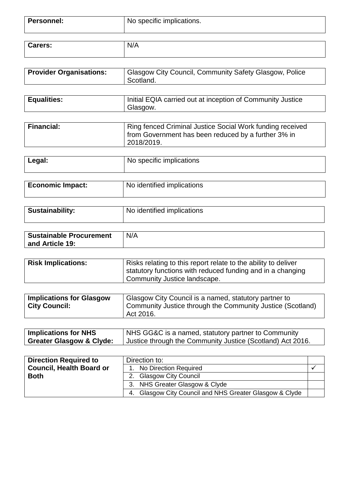| <b>Personnel:</b> | No specific implications. |
|-------------------|---------------------------|
|                   |                           |

| $\overline{\phantom{a}}$<br>$\sim$<br>arers: | M<br>-<br>$\mathbf{v}$ |
|----------------------------------------------|------------------------|
|                                              |                        |

| Glasgow City Council, Community Safety Glasgow, Police<br><b>Provider Organisations:</b><br>Scotland. |
|-------------------------------------------------------------------------------------------------------|
|-------------------------------------------------------------------------------------------------------|

| <b>Equalities:</b> | Initial EQIA carried out at inception of Community Justice |
|--------------------|------------------------------------------------------------|
|                    | Glasgow.                                                   |

| Financial: | Ring fenced Criminal Justice Social Work funding received<br>I from Government has been reduced by a further 3% in |
|------------|--------------------------------------------------------------------------------------------------------------------|
|            | 2018/2019.                                                                                                         |

| Legal:                  | No specific implications   |
|-------------------------|----------------------------|
|                         |                            |
| <b>Economic Impact:</b> | No identified implications |

| Sustainability: | No identified implications |
|-----------------|----------------------------|
|                 |                            |

| <b>Sustainable Procurement</b> | N/A |
|--------------------------------|-----|
| and Article 19:                |     |

| <b>Risk Implications:</b> | Risks relating to this report relate to the ability to deliver |
|---------------------------|----------------------------------------------------------------|
|                           | statutory functions with reduced funding and in a changing     |
|                           | Community Justice landscape.                                   |

| <b>Implications for Glasgow</b><br><b>City Council:</b> | Glasgow City Council is a named, statutory partner to<br>  Community Justice through the Community Justice (Scotland)<br>$\overline{}$ Act 2016. |
|---------------------------------------------------------|--------------------------------------------------------------------------------------------------------------------------------------------------|
|---------------------------------------------------------|--------------------------------------------------------------------------------------------------------------------------------------------------|

| <b>Implications for NHS</b>         | NHS GG&C is a named, statutory partner to Community        |
|-------------------------------------|------------------------------------------------------------|
| <b>Greater Glasgow &amp; Clyde:</b> | Justice through the Community Justice (Scotland) Act 2016. |

| <b>Direction Required to</b>    | Direction to:                                              |  |
|---------------------------------|------------------------------------------------------------|--|
| <b>Council, Health Board or</b> | No Direction Required                                      |  |
| <b>Both</b>                     | <b>Glasgow City Council</b>                                |  |
|                                 | 3. NHS Greater Glasgow & Clyde                             |  |
|                                 | Glasgow City Council and NHS Greater Glasgow & Clyde<br>4. |  |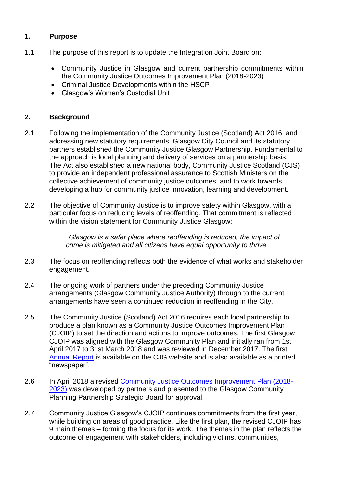# **1. Purpose**

- 1.1The purpose of this report is to update the Integration Joint Board on:
	- Community Justice in Glasgow and current partnership commitments within the Community Justice Outcomes Improvement Plan (2018-2023)
	- Criminal Justice Developments within the HSCP
	- Glasgow's Women's Custodial Unit

### **2. Background**

- 2.1 Following the implementation of the Community Justice (Scotland) Act 2016, and addressing new statutory requirements, Glasgow City Council and its statutory partners established the Community Justice Glasgow Partnership. Fundamental to the approach is local planning and delivery of services on a partnership basis. The Act also established a new national body, Community Justice Scotland (CJS) to provide an independent professional assurance to Scottish Ministers on the collective achievement of community justice outcomes, and to work towards developing a hub for community justice innovation, learning and development.
- 2.2 The objective of Community Justice is to improve safety within Glasgow, with a particular focus on reducing levels of reoffending. That commitment is reflected within the vision statement for Community Justice Glasgow:

*Glasgow is a safer place where reoffending is reduced, the impact of crime is mitigated and all citizens have equal opportunity to thrive*

- 2.3 The focus on reoffending reflects both the evidence of what works and stakeholder engagement.
- 2.4 The ongoing work of partners under the preceding Community Justice arrangements (Glasgow Community Justice Authority) through to the current arrangements have seen a continued reduction in reoffending in the City.
- 2.5 The Community Justice (Scotland) Act 2016 requires each local partnership to produce a plan known as a Community Justice Outcomes Improvement Plan (CJOIP) to set the direction and actions to improve outcomes. The first Glasgow CJOIP was aligned with the Glasgow Community Plan and initially ran from 1st April 2017 to 31st March 2018 and was reviewed in December 2017. The first [Annual Report](https://www.glasgowcpp.org.uk/CHttpHandler.ashx?id=43296&p=0) is available on the CJG website and is also available as a printed "newspaper".
- 2.6 In April 2018 a revised [Community Justice Outcomes Improvement Plan \(2018-](https://www.glasgowcpp.org.uk/CHttpHandler.ashx?id=41787&p=0) [2023\)](https://www.glasgowcpp.org.uk/CHttpHandler.ashx?id=41787&p=0) was developed by partners and presented to the Glasgow Community Planning Partnership Strategic Board for approval.
- 2.7 Community Justice Glasgow's CJOIP continues commitments from the first year, while building on areas of good practice. Like the first plan, the revised CJOIP has 9 main themes – forming the focus for its work. The themes in the plan reflects the outcome of engagement with stakeholders, including victims, communities,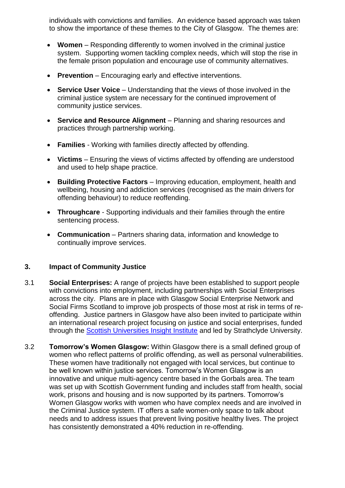individuals with convictions and families. An evidence based approach was taken to show the importance of these themes to the City of Glasgow. The themes are:

- **Women** Responding differently to women involved in the criminal justice system. Supporting women tackling complex needs, which will stop the rise in the female prison population and encourage use of community alternatives.
- **Prevention** Encouraging early and effective interventions.
- **Service User Voice** Understanding that the views of those involved in the criminal justice system are necessary for the continued improvement of community justice services.
- **Service and Resource Alignment** Planning and sharing resources and practices through partnership working.
- **Families** Working with families directly affected by offending.
- **Victims** Ensuring the views of victims affected by offending are understood and used to help shape practice.
- **Building Protective Factors** Improving education, employment, health and wellbeing, housing and addiction services (recognised as the main drivers for offending behaviour) to reduce reoffending.
- **Throughcare** Supporting individuals and their families through the entire sentencing process.
- **Communication** Partners sharing data, information and knowledge to continually improve services.

#### **3. Impact of Community Justice**

- 3.1 **Social Enterprises:** A range of projects have been established to support people with convictions into employment, including partnerships with Social Enterprises across the city. Plans are in place with Glasgow Social Enterprise Network and Social Firms Scotland to improve job prospects of those most at risk in terms of reoffending. Justice partners in Glasgow have also been invited to participate within an international research project focusing on justice and social enterprises, funded through the **Scottish Universities Insight Institute** and led by Strathclyde University.
- 3.2 **Tomorrow's Women Glasgow:** Within Glasgow there is a small defined group of women who reflect patterns of prolific offending, as well as personal vulnerabilities. These women have traditionally not engaged with local services, but continue to be well known within justice services. Tomorrow's Women Glasgow is an innovative and unique multi-agency centre based in the Gorbals area. The team was set up with Scottish Government funding and includes staff from health, social work, prisons and housing and is now supported by its partners. Tomorrow's Women Glasgow works with women who have complex needs and are involved in the Criminal Justice system. IT offers a safe women-only space to talk about needs and to address issues that prevent living positive healthy lives. The project has consistently demonstrated a 40% reduction in re-offending.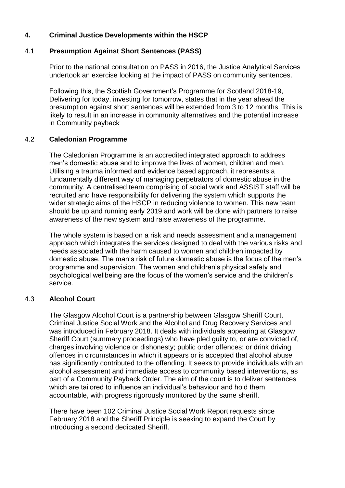# **4. Criminal Justice Developments within the HSCP**

#### 4.1 **Presumption Against Short Sentences (PASS)**

Prior to the national consultation on PASS in 2016, the Justice Analytical Services undertook an exercise looking at the impact of PASS on community sentences.

Following this, the Scottish Government's Programme for Scotland 2018-19, Delivering for today, investing for tomorrow, states that in the year ahead the presumption against short sentences will be extended from 3 to 12 months. This is likely to result in an increase in community alternatives and the potential increase in Community payback

#### 4.2 **Caledonian Programme**

The Caledonian Programme is an accredited integrated approach to address men's domestic abuse and to improve the lives of women, children and men. Utilising a trauma informed and evidence based approach, it represents a fundamentally different way of managing perpetrators of domestic abuse in the community. A centralised team comprising of social work and ASSIST staff will be recruited and have responsibility for delivering the system which supports the wider strategic aims of the HSCP in reducing violence to women. This new team should be up and running early 2019 and work will be done with partners to raise awareness of the new system and raise awareness of the programme.

The whole system is based on a risk and needs assessment and a management approach which integrates the services designed to deal with the various risks and needs associated with the harm caused to women and children impacted by domestic abuse. The man's risk of future domestic abuse is the focus of the men's programme and supervision. The women and children's physical safety and psychological wellbeing are the focus of the women's service and the children's service.

# 4.3 **Alcohol Court**

The Glasgow Alcohol Court is a partnership between Glasgow Sheriff Court, Criminal Justice Social Work and the Alcohol and Drug Recovery Services and was introduced in February 2018. It deals with individuals appearing at Glasgow Sheriff Court (summary proceedings) who have pled guilty to, or are convicted of, charges involving violence or dishonesty; public order offences; or drink driving offences in circumstances in which it appears or is accepted that alcohol abuse has significantly contributed to the offending. It seeks to provide individuals with an alcohol assessment and immediate access to community based interventions, as part of a Community Payback Order. The aim of the court is to deliver sentences which are tailored to influence an individual's behaviour and hold them accountable, with progress rigorously monitored by the same sheriff.

There have been 102 Criminal Justice Social Work Report requests since February 2018 and the Sheriff Principle is seeking to expand the Court by introducing a second dedicated Sheriff.